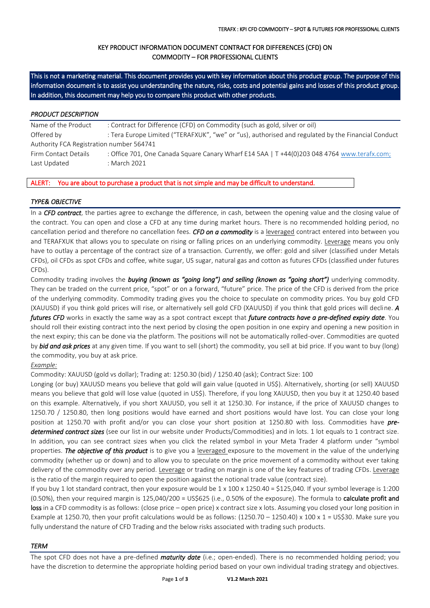# KEY PRODUCT INFORMATION DOCUMENT CONTRACT FOR DIFFERENCES (CFD) ON COMMODITY – FOR PROFESSIONAL CLIENTS

This is not a marketing material. This document provides you with key information about this product group. The purpose of this information document is to assist you understanding the nature, risks, costs and potential gains and losses of this product group. In addition, this document may help you to compare this product with other products.

#### *PRODUCT DESCRIPTION*

Name of the Product : Contract for Difference (CFD) on Commodity (such as gold, silver or oil) Offered by : Tera Europe Limited ("TERAFXUK", "we" or "us), authorised and regulated by the Financial Conduct Authority FCA Registration number 564741 Firm Contact Details : Office 701, One Canada Square Canary Wharf E14 5AA | T +44(0)203 048 4764 [www.terafx.com;](http://www.terafx.com/) Last Updated : March 2021

### ALERT: You are about to purchase a product that is not simple and may be difficult to understand.

### *TYPE& OBJECTIVE*

In a *CFD contract*, the parties agree to exchange the difference, in cash, between the opening value and the closing value of the contract. You can open and close a CFD at any time during market hours. There is no recommended holding period, no cancellation period and therefore no cancellation fees. *CFD on a commodity* is a leveraged contract entered into between you and TERAFXUK that allows you to speculate on rising or falling prices on an underlying commodity. Leverage means you only have to outlay a percentage of the contract size of a transaction. Currently, we offer: gold and silver (classified under Metals CFDs), oil CFDs as spot CFDs and coffee, white sugar, US sugar, natural gas and cotton as futures CFDs (classified under futures CFDs).

Commodity trading involves the *buying (known as "going long") and selling (known as "going short")* underlying commodity. They can be traded on the current price, "spot" or on a forward, "future" price. The price of the CFD is derived from the price of the underlying commodity. Commodity trading gives you the choice to speculate on commodity prices. You buy gold CFD (XAUUSD) if you think gold prices will rise, or alternatively sell gold CFD (XAUUSD) if you think that gold prices will decline. *A futures CFD* works in exactly the same way as a spot contract except that *future contracts have a pre-defined expiry date*. You should roll their existing contract into the next period by closing the open position in one expiry and opening a new position in the next expiry; this can be done via the platform. The positions will not be automatically rolled-over. Commodities are quoted by *bid and ask prices* at any given time. If you want to sell (short) the commodity, you sell at bid price. If you want to buy (long) the commodity, you buy at ask price.

### *Example:*

Commodity: XAUUSD (gold vs dollar); Trading at: 1250.30 (bid) / 1250.40 (ask); Contract Size: 100

Longing (or buy) XAUUSD means you believe that gold will gain value (quoted in US\$). Alternatively, shorting (or sell) XAUUSD means you believe that gold will lose value (quoted in US\$). Therefore, if you long XAUUSD, then you buy it at 1250.40 based on this example. Alternatively, if you short XAUUSD, you sell it at 1250.30. For instance, if the price of XAUUSD changes to 1250.70 / 1250.80, then long positions would have earned and short positions would have lost. You can close your long position at 1250.70 with profit and/or you can close your short position at 1250.80 with loss. Commodities have *predetermined contract sizes* (see our list in our website under Products/Commodities) and in lots. 1 lot equals to 1 contract size. In addition, you can see contract sizes when you click the related symbol in your Meta Trader 4 platform under "symbol properties. *The objective of this product* is to give you a leveraged exposure to the movement in the value of the underlying commodity (whether up or down) and to allow you to speculate on the price movement of a commodity without ever taking delivery of the commodity over any period. Leverage or trading on margin is one of the key features of trading CFDs. Leverage is the ratio of the margin required to open the position against the notional trade value (contract size).

If you buy 1 lot standard contract, then your exposure would be 1 x 100 x 1250.40 = \$125,040. If your symbol leverage is 1:200  $(0.50\%)$ , then your required margin is  $125,040/200 = US$625$  (i.e., 0.50% of the exposure). The formula to calculate profit and loss in a CFD commodity is as follows: (close price – open price) x contract size x lots. Assuming you closed your long position in Example at 1250.70, then your profit calculations would be as follows:  $(1250.70 - 1250.40) \times 100 \times 1 =$  US\$30. Make sure you fully understand the nature of CFD Trading and the below risks associated with trading such products.

### *TERM*

The spot CFD does not have a pre-defined *maturity date* (i.e.; open-ended). There is no recommended holding period; you have the discretion to determine the appropriate holding period based on your own individual trading strategy and objectives.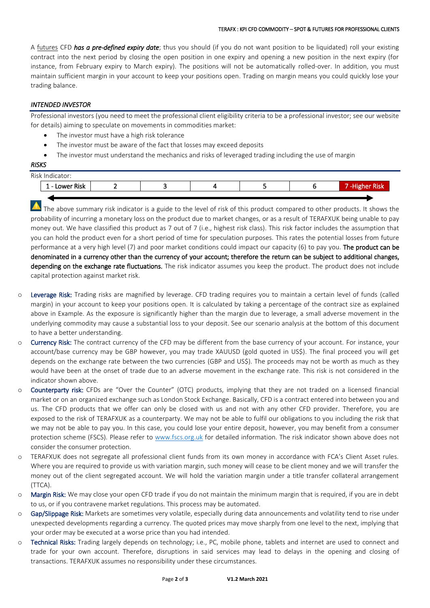A futures CFD *has a pre-defined expiry date*; thus you should (if you do not want position to be liquidated) roll your existing contract into the next period by closing the open position in one expiry and opening a new position in the next expiry (for instance, from February expiry to March expiry). The positions will not be automatically rolled-over. In addition, you must maintain sufficient margin in your account to keep your positions open. Trading on margin means you could quickly lose your trading balance.

### *INTENDED INVESTOR*

Professional investors (you need to meet the professional client eligibility criteria to be a professional investor; see our website for details) aiming to speculate on movements in commodities market:

- The investor must have a high risk tolerance
- The investor must be aware of the fact that losses may exceed deposits
- The investor must understand the mechanics and risks of leveraged trading including the use of margin

### *RISKS*

| Risk Indicator: |                |  |  |  |  |  |                       |  |  |  |  |
|-----------------|----------------|--|--|--|--|--|-----------------------|--|--|--|--|
|                 | 1 - Lower Risk |  |  |  |  |  | $\cdots$<br>-<br>אכוח |  |  |  |  |
|                 |                |  |  |  |  |  |                       |  |  |  |  |

The above summary risk indicator is a guide to the level of risk of this product compared to other products. It shows the probability of incurring a monetary loss on the product due to market changes, or as a result of TERAFXUK being unable to pay money out. We have classified this product as 7 out of 7 (i.e., highest risk class). This risk factor includes the assumption that you can hold the product even for a short period of time for speculation purposes. This rates the potential losses from future performance at a very high level (7) and poor market conditions could impact our capacity (6) to pay you. The product can be denominated in a currency other than the currency of your account; therefore the return can be subject to additional changes, depending on the exchange rate fluctuations. The risk indicator assumes you keep the product. The product does not include capital protection against market risk.

- o Leverage Risk: Trading risks are magnified by leverage. CFD trading requires you to maintain a certain level of funds (called margin) in your account to keep your positions open. It is calculated by taking a percentage of the contract size as explained above in Example. As the exposure is significantly higher than the margin due to leverage, a small adverse movement in the underlying commodity may cause a substantial loss to your deposit. See our scenario analysis at the bottom of this document to have a better understanding.
- o Currency Risk: The contract currency of the CFD may be different from the base currency of your account. For instance, your account/base currency may be GBP however, you may trade XAUUSD (gold quoted in US\$). The final proceed you will get depends on the exchange rate between the two currencies (GBP and US\$). The proceeds may not be worth as much as they would have been at the onset of trade due to an adverse movement in the exchange rate. This risk is not considered in the indicator shown above.
- o Counterparty risk: CFDs are "Over the Counter" (OTC) products, implying that they are not traded on a licensed financial market or on an organized exchange such as London Stock Exchange. Basically, CFD is a contract entered into between you and us. The CFD products that we offer can only be closed with us and not with any other CFD provider. Therefore, you are exposed to the risk of TERAFXUK as a counterparty. We may not be able to fulfil our obligations to you including the risk that we may not be able to pay you. In this case, you could lose your entire deposit, however, you may benefit from a consumer protection scheme (FSCS). Please refer to [www.fscs.org.uk](http://www.fscs.org.uk/) for detailed information. The risk indicator shown above does not consider the consumer protection.
- o TERAFXUK does not segregate all professional client funds from its own money in accordance with FCA's Client Asset rules. Where you are required to provide us with variation margin, such money will cease to be client money and we will transfer the money out of the client segregated account. We will hold the variation margin under a title transfer collateral arrangement (TTCA).
- $\circ$  Margin Risk: We may close your open CFD trade if you do not maintain the minimum margin that is required, if you are in debt to us, or if you contravene market regulations. This process may be automated.
- o Gap/Slippage Risk: Markets are sometimes very volatile, especially during data announcements and volatility tend to rise under unexpected developments regarding a currency. The quoted prices may move sharply from one level to the next, implying that your order may be executed at a worse price than you had intended.
- o Technical Risks: Trading largely depends on technology; i.e., PC, mobile phone, tablets and internet are used to connect and trade for your own account. Therefore, disruptions in said services may lead to delays in the opening and closing of transactions. TERAFXUK assumes no responsibility under these circumstances.